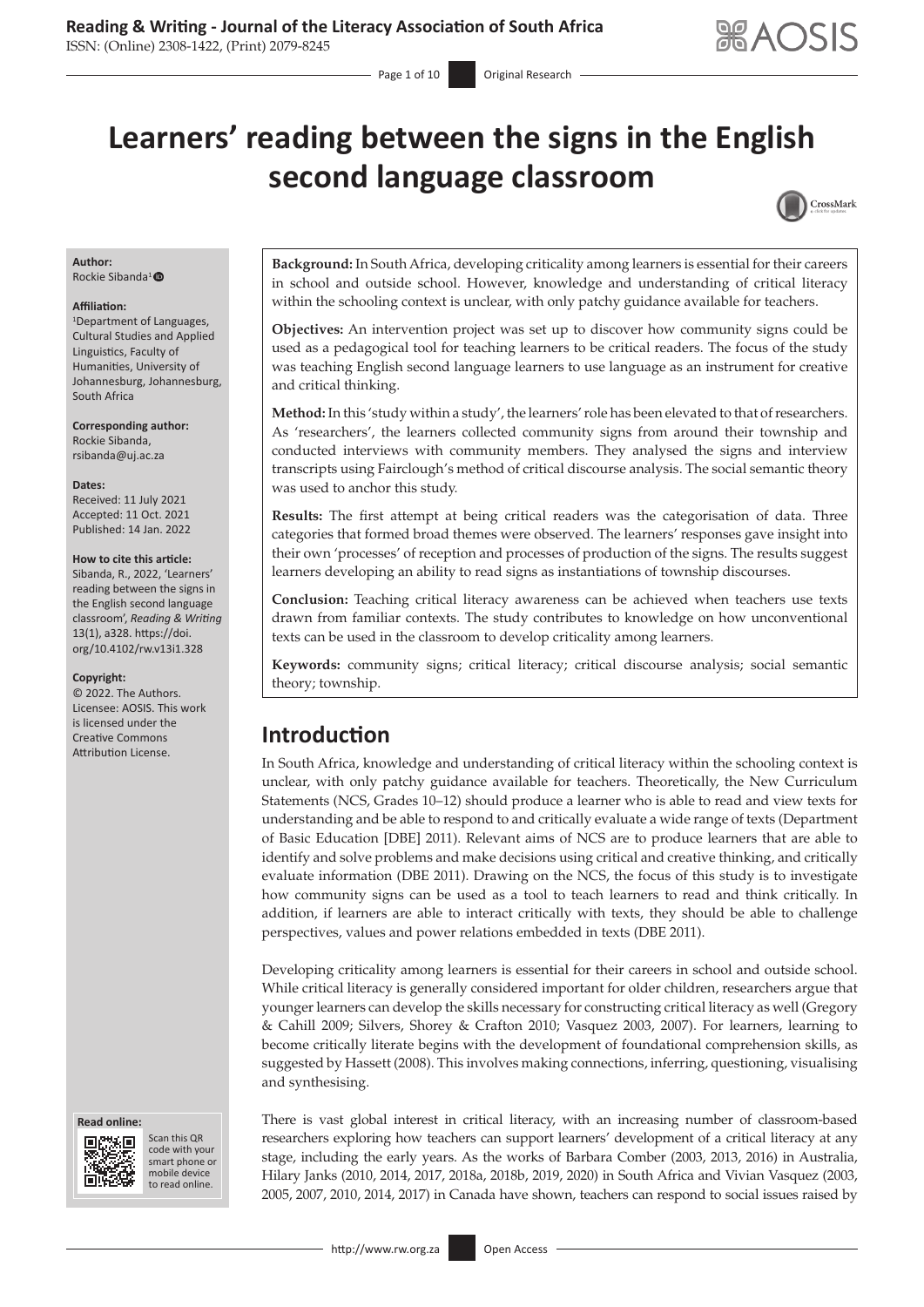# **Learners' reading between the signs in the English second language classroom**



#### **Author:**

Rockie Sibanda<sup>1</sup>

#### **Affiliation:**

1 Department of Languages, Cultural Studies and Applied Linguistics, Faculty of Humanities, University of Johannesburg, Johannesburg, South Africa

**Corresponding author:** Rockie Sibanda, [rsibanda@uj.ac.za](mailto:rsibanda@uj.ac.za)

**Dates:**

Received: 11 July 2021 Accepted: 11 Oct. 2021 Published: 14 Jan. 2022

#### **How to cite this article:**

Sibanda, R., 2022, 'Learners' reading between the signs in the English second language classroom', *Reading & Writing*  13(1), a328. [https://doi.](https://doi.org/10.4102/rw.v13i1.328) [org/10.4102/rw.v13i1.328](https://doi.org/10.4102/rw.v13i1.328)

#### **Copyright:**

© 2022. The Authors. Licensee: AOSIS. This work is licensed under the Creative Commons Attribution License.

#### **Read online: Read online:**



Scan this QR code with your Scan this QR<br>code with your<br>smart phone or<br>mobile device mobile device to read online. to read online.

**Background:** In South Africa, developing criticality among learners is essential for their careers in school and outside school. However, knowledge and understanding of critical literacy within the schooling context is unclear, with only patchy guidance available for teachers.

**Objectives:** An intervention project was set up to discover how community signs could be used as a pedagogical tool for teaching learners to be critical readers. The focus of the study was teaching English second language learners to use language as an instrument for creative and critical thinking.

**Method:** In this 'study within a study', the learners' role has been elevated to that of researchers. As 'researchers', the learners collected community signs from around their township and conducted interviews with community members. They analysed the signs and interview transcripts using Fairclough's method of critical discourse analysis. The social semantic theory was used to anchor this study.

**Results:** The first attempt at being critical readers was the categorisation of data. Three categories that formed broad themes were observed. The learners' responses gave insight into their own 'processes' of reception and processes of production of the signs. The results suggest learners developing an ability to read signs as instantiations of township discourses.

**Conclusion:** Teaching critical literacy awareness can be achieved when teachers use texts drawn from familiar contexts. The study contributes to knowledge on how unconventional texts can be used in the classroom to develop criticality among learners.

**Keywords:** community signs; critical literacy; critical discourse analysis; social semantic theory; township.

### **Introduction**

In South Africa, knowledge and understanding of critical literacy within the schooling context is unclear, with only patchy guidance available for teachers. Theoretically, the New Curriculum Statements (NCS, Grades 10–12) should produce a learner who is able to read and view texts for understanding and be able to respond to and critically evaluate a wide range of texts (Department of Basic Education [DBE] 2011). Relevant aims of NCS are to produce learners that are able to identify and solve problems and make decisions using critical and creative thinking, and critically evaluate information (DBE 2011). Drawing on the NCS, the focus of this study is to investigate how community signs can be used as a tool to teach learners to read and think critically. In addition, if learners are able to interact critically with texts, they should be able to challenge perspectives, values and power relations embedded in texts (DBE 2011).

Developing criticality among learners is essential for their careers in school and outside school. While critical literacy is generally considered important for older children, researchers argue that younger learners can develop the skills necessary for constructing critical literacy as well (Gregory & Cahill 2009; Silvers, Shorey & Crafton 2010; Vasquez 2003, 2007). For learners, learning to become critically literate begins with the development of foundational comprehension skills, as suggested by Hassett (2008). This involves making connections, inferring, questioning, visualising and synthesising.

There is vast global interest in critical literacy, with an increasing number of classroom-based researchers exploring how teachers can support learners' development of a critical literacy at any stage, including the early years. As the works of Barbara Comber (2003, 2013, 2016) in Australia, Hilary Janks (2010, 2014, 2017, 2018a, 2018b, 2019, 2020) in South Africa and Vivian Vasquez (2003, 2005, 2007, 2010, 2014, 2017) in Canada have shown, teachers can respond to social issues raised by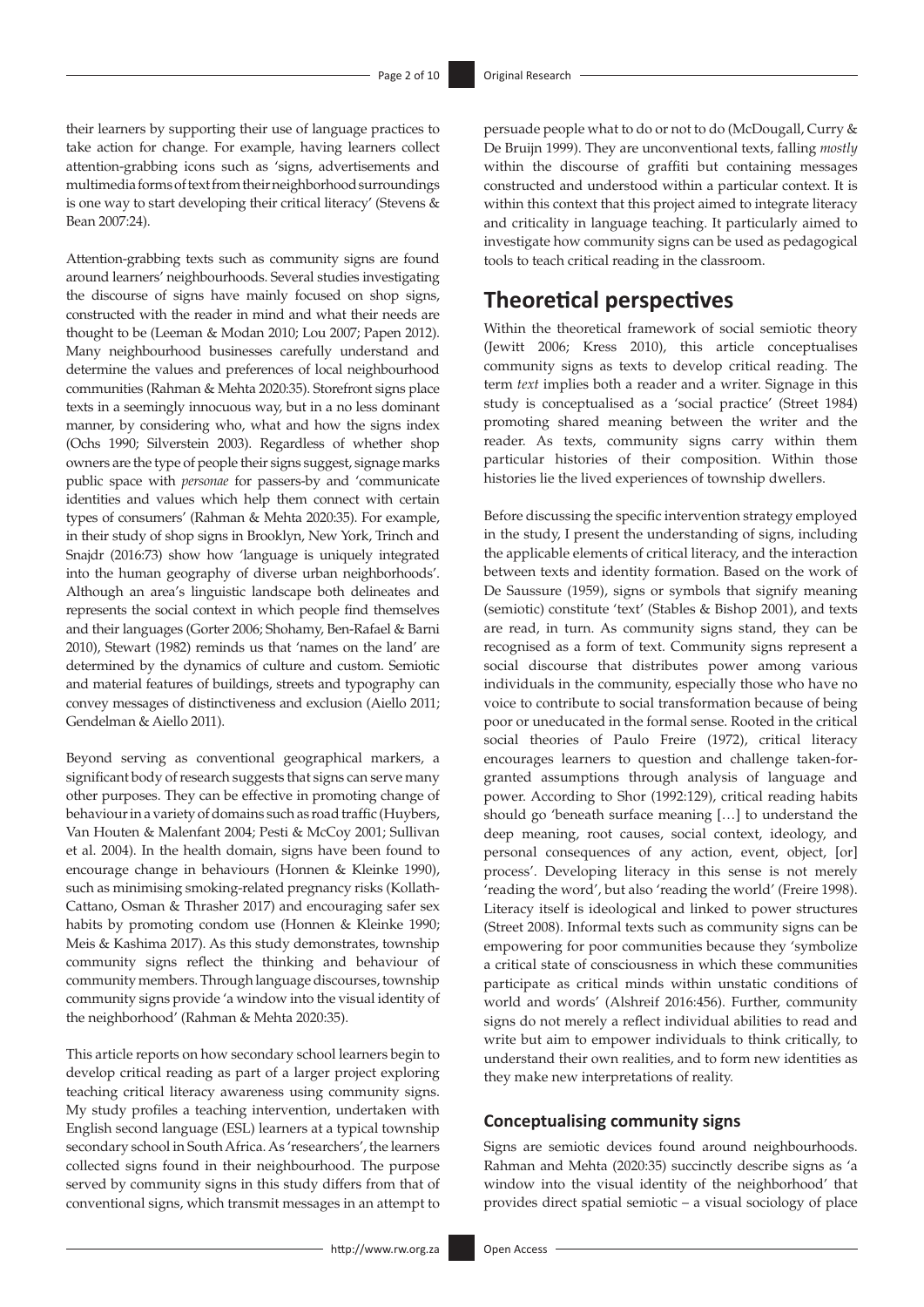their learners by supporting their use of language practices to take action for change. For example, having learners collect attention-grabbing icons such as 'signs, advertisements and multimedia forms of text from their neighborhood surroundings is one way to start developing their critical literacy' (Stevens & Bean 2007:24).

Attention-grabbing texts such as community signs are found around learners' neighbourhoods. Several studies investigating the discourse of signs have mainly focused on shop signs, constructed with the reader in mind and what their needs are thought to be (Leeman & Modan 2010; Lou 2007; Papen 2012). Many neighbourhood businesses carefully understand and determine the values and preferences of local neighbourhood communities (Rahman & Mehta 2020:35). Storefront signs place texts in a seemingly innocuous way, but in a no less dominant manner, by considering who, what and how the signs index (Ochs 1990; Silverstein 2003). Regardless of whether shop owners are the type of people their signs suggest, signage marks public space with *personae* for passers-by and 'communicate identities and values which help them connect with certain types of consumers' (Rahman & Mehta 2020:35). For example, in their study of shop signs in Brooklyn, New York, Trinch and Snajdr (2016:73) show how 'language is uniquely integrated into the human geography of diverse urban neighborhoods'. Although an area's linguistic landscape both delineates and represents the social context in which people find themselves and their languages (Gorter 2006; Shohamy, Ben-Rafael & Barni 2010), Stewart (1982) reminds us that 'names on the land' are determined by the dynamics of culture and custom. Semiotic and material features of buildings, streets and typography can convey messages of distinctiveness and exclusion (Aiello 2011; Gendelman & Aiello 2011).

Beyond serving as conventional geographical markers, a significant body of research suggests that signs can serve many other purposes. They can be effective in promoting change of behaviour in a variety of domains such as road traffic (Huybers, Van Houten & Malenfant 2004; Pesti & McCoy 2001; Sullivan et al. 2004). In the health domain, signs have been found to encourage change in behaviours (Honnen & Kleinke 1990), such as minimising smoking-related pregnancy risks (Kollath-Cattano, Osman & Thrasher 2017) and encouraging safer sex habits by promoting condom use (Honnen & Kleinke 1990; Meis & Kashima 2017). As this study demonstrates, township community signs reflect the thinking and behaviour of community members. Through language discourses, township community signs provide 'a window into the visual identity of the neighborhood' (Rahman & Mehta 2020:35).

This article reports on how secondary school learners begin to develop critical reading as part of a larger project exploring teaching critical literacy awareness using community signs. My study profiles a teaching intervention, undertaken with English second language (ESL) learners at a typical township secondary school in South Africa. As 'researchers', the learners collected signs found in their neighbourhood. The purpose served by community signs in this study differs from that of conventional signs, which transmit messages in an attempt to

persuade people what to do or not to do (McDougall, Curry & De Bruijn 1999). They are unconventional texts, falling *mostly* within the discourse of graffiti but containing messages constructed and understood within a particular context. It is within this context that this project aimed to integrate literacy and criticality in language teaching. It particularly aimed to investigate how community signs can be used as pedagogical tools to teach critical reading in the classroom.

# **Theoretical perspectives**

Within the theoretical framework of social semiotic theory (Jewitt 2006; Kress 2010), this article conceptualises community signs as texts to develop critical reading. The term *text* implies both a reader and a writer. Signage in this study is conceptualised as a 'social practice' (Street 1984) promoting shared meaning between the writer and the reader. As texts, community signs carry within them particular histories of their composition. Within those histories lie the lived experiences of township dwellers.

Before discussing the specific intervention strategy employed in the study, I present the understanding of signs, including the applicable elements of critical literacy, and the interaction between texts and identity formation. Based on the work of De Saussure (1959), signs or symbols that signify meaning (semiotic) constitute 'text' (Stables & Bishop 2001), and texts are read, in turn. As community signs stand, they can be recognised as a form of text. Community signs represent a social discourse that distributes power among various individuals in the community, especially those who have no voice to contribute to social transformation because of being poor or uneducated in the formal sense. Rooted in the critical social theories of Paulo Freire (1972), critical literacy encourages learners to question and challenge taken-forgranted assumptions through analysis of language and power. According to Shor (1992:129), critical reading habits should go 'beneath surface meaning […] to understand the deep meaning, root causes, social context, ideology, and personal consequences of any action, event, object, [or] process'. Developing literacy in this sense is not merely 'reading the word', but also 'reading the world' (Freire 1998). Literacy itself is ideological and linked to power structures (Street 2008). Informal texts such as community signs can be empowering for poor communities because they 'symbolize a critical state of consciousness in which these communities participate as critical minds within unstatic conditions of world and words' (Alshreif 2016:456). Further, community signs do not merely a reflect individual abilities to read and write but aim to empower individuals to think critically, to understand their own realities, and to form new identities as they make new interpretations of reality.

### **Conceptualising community signs**

Signs are semiotic devices found around neighbourhoods. Rahman and Mehta (2020:35) succinctly describe signs as 'a window into the visual identity of the neighborhood' that provides direct spatial semiotic – a visual sociology of place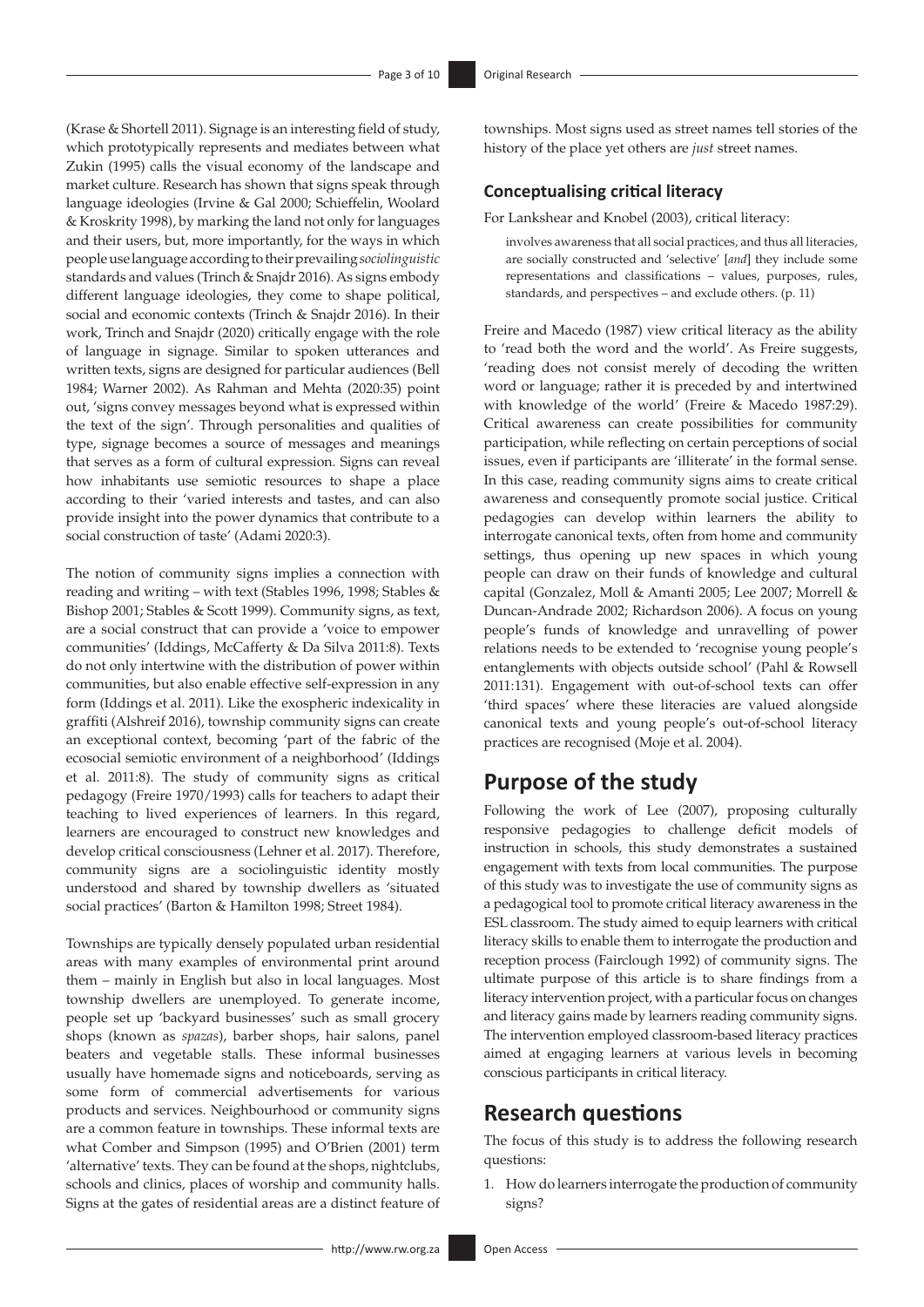(Krase & Shortell 2011). Signage is an interesting field of study, which prototypically represents and mediates between what Zukin (1995) calls the visual economy of the landscape and market culture. Research has shown that signs speak through language ideologies (Irvine & Gal 2000; Schieffelin, Woolard & Kroskrity 1998), by marking the land not only for languages and their users, but, more importantly, for the ways in which people use language according to their prevailing *sociolinguistic*  standards and values (Trinch & Snajdr 2016). As signs embody different language ideologies, they come to shape political, social and economic contexts (Trinch & Snajdr 2016). In their work, Trinch and Snajdr (2020) critically engage with the role of language in signage. Similar to spoken utterances and written texts, signs are designed for particular audiences (Bell 1984; Warner 2002). As Rahman and Mehta (2020:35) point out, 'signs convey messages beyond what is expressed within the text of the sign'. Through personalities and qualities of type, signage becomes a source of messages and meanings that serves as a form of cultural expression. Signs can reveal how inhabitants use semiotic resources to shape a place according to their 'varied interests and tastes, and can also provide insight into the power dynamics that contribute to a social construction of taste' (Adami 2020:3).

The notion of community signs implies a connection with reading and writing – with text (Stables 1996, 1998; Stables & Bishop 2001; Stables & Scott 1999). Community signs, as text, are a social construct that can provide a 'voice to empower communities' (Iddings, McCafferty & Da Silva 2011:8). Texts do not only intertwine with the distribution of power within communities, but also enable effective self-expression in any form (Iddings et al. 2011). Like the exospheric indexicality in graffiti (Alshreif 2016), township community signs can create an exceptional context, becoming 'part of the fabric of the ecosocial semiotic environment of a neighborhood' (Iddings et al. 2011:8). The study of community signs as critical pedagogy (Freire 1970/1993) calls for teachers to adapt their teaching to lived experiences of learners. In this regard, learners are encouraged to construct new knowledges and develop critical consciousness (Lehner et al. 2017). Therefore, community signs are a sociolinguistic identity mostly understood and shared by township dwellers as 'situated social practices' (Barton & Hamilton 1998; Street 1984).

Townships are typically densely populated urban residential areas with many examples of environmental print around them – mainly in English but also in local languages. Most township dwellers are unemployed. To generate income, people set up 'backyard businesses' such as small grocery shops (known as *spazas*), barber shops, hair salons, panel beaters and vegetable stalls. These informal businesses usually have homemade signs and noticeboards, serving as some form of commercial advertisements for various products and services. Neighbourhood or community signs are a common feature in townships. These informal texts are what Comber and Simpson (1995) and O'Brien (2001) term 'alternative' texts. They can be found at the shops, nightclubs, schools and clinics, places of worship and community halls. Signs at the gates of residential areas are a distinct feature of townships. Most signs used as street names tell stories of the history of the place yet others are *just* street names.

#### **Conceptualising critical literacy**

For Lankshear and Knobel (2003), critical literacy:

involves awareness that all social practices, and thus all literacies, are socially constructed and 'selective' [*and*] they include some representations and classifications – values, purposes, rules, standards, and perspectives – and exclude others. (p. 11)

Freire and Macedo (1987) view critical literacy as the ability to 'read both the word and the world'. As Freire suggests, 'reading does not consist merely of decoding the written word or language; rather it is preceded by and intertwined with knowledge of the world' (Freire & Macedo 1987:29). Critical awareness can create possibilities for community participation, while reflecting on certain perceptions of social issues, even if participants are 'illiterate' in the formal sense. In this case, reading community signs aims to create critical awareness and consequently promote social justice. Critical pedagogies can develop within learners the ability to interrogate canonical texts, often from home and community settings, thus opening up new spaces in which young people can draw on their funds of knowledge and cultural capital (Gonzalez, Moll & Amanti 2005; Lee 2007; Morrell & Duncan-Andrade 2002; Richardson 2006). A focus on young people's funds of knowledge and unravelling of power relations needs to be extended to 'recognise young people's entanglements with objects outside school' (Pahl & Rowsell 2011:131). Engagement with out-of-school texts can offer 'third spaces' where these literacies are valued alongside canonical texts and young people's out-of-school literacy practices are recognised (Moje et al. 2004).

### **Purpose of the study**

Following the work of Lee (2007), proposing culturally responsive pedagogies to challenge deficit models of instruction in schools, this study demonstrates a sustained engagement with texts from local communities. The purpose of this study was to investigate the use of community signs as a pedagogical tool to promote critical literacy awareness in the ESL classroom. The study aimed to equip learners with critical literacy skills to enable them to interrogate the production and reception process (Fairclough 1992) of community signs. The ultimate purpose of this article is to share findings from a literacy intervention project, with a particular focus on changes and literacy gains made by learners reading community signs. The intervention employed classroom-based literacy practices aimed at engaging learners at various levels in becoming conscious participants in critical literacy.

### **Research questions**

The focus of this study is to address the following research questions:

1. How do learners interrogate the production of community signs?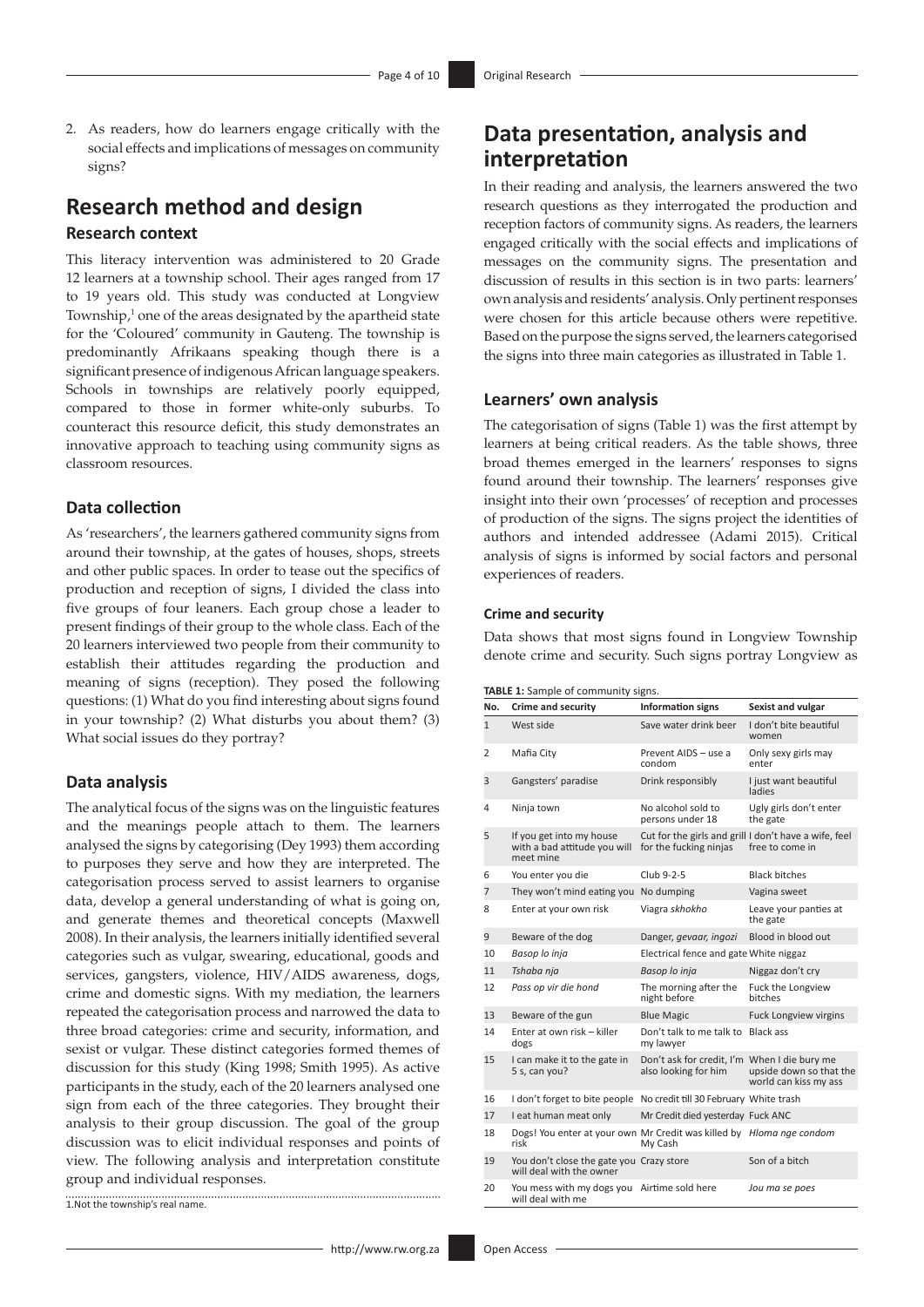2. As readers, how do learners engage critically with the social effects and implications of messages on community signs?

# **Research method and design**

#### **Research context**

This literacy intervention was administered to 20 Grade 12 learners at a township school. Their ages ranged from 17 to 19 years old. This study was conducted at Longview Township,<sup>1</sup> one of the areas designated by the apartheid state for the 'Coloured' community in Gauteng. The township is predominantly Afrikaans speaking though there is a significant presence of indigenous African language speakers. Schools in townships are relatively poorly equipped, compared to those in former white-only suburbs. To counteract this resource deficit, this study demonstrates an innovative approach to teaching using community signs as classroom resources.

### **Data collection**

As 'researchers', the learners gathered community signs from around their township, at the gates of houses, shops, streets and other public spaces. In order to tease out the specifics of production and reception of signs, I divided the class into five groups of four leaners. Each group chose a leader to present findings of their group to the whole class. Each of the 20 learners interviewed two people from their community to establish their attitudes regarding the production and meaning of signs (reception). They posed the following questions: (1) What do you find interesting about signs found in your township? (2) What disturbs you about them? (3) What social issues do they portray?

#### **Data analysis**

The analytical focus of the signs was on the linguistic features and the meanings people attach to them. The learners analysed the signs by categorising (Dey 1993) them according to purposes they serve and how they are interpreted. The categorisation process served to assist learners to organise data, develop a general understanding of what is going on, and generate themes and theoretical concepts (Maxwell 2008). In their analysis, the learners initially identified several categories such as vulgar, swearing, educational, goods and services, gangsters, violence, HIV/AIDS awareness, dogs, crime and domestic signs. With my mediation, the learners repeated the categorisation process and narrowed the data to three broad categories: crime and security, information, and sexist or vulgar. These distinct categories formed themes of discussion for this study (King 1998; Smith 1995). As active participants in the study, each of the 20 learners analysed one sign from each of the three categories. They brought their analysis to their group discussion. The goal of the group discussion was to elicit individual responses and points of view. The following analysis and interpretation constitute group and individual responses.

1.Not the township's real name.

# **Data presentation, analysis and interpretation**

In their reading and analysis, the learners answered the two research questions as they interrogated the production and reception factors of community signs. As readers, the learners engaged critically with the social effects and implications of messages on the community signs. The presentation and discussion of results in this section is in two parts: learners' own analysis and residents' analysis. Only pertinent responses were chosen for this article because others were repetitive. Based on the purpose the signs served, the learners categorised the signs into three main categories as illustrated in Table 1.

### **Learners' own analysis**

The categorisation of signs (Table 1) was the first attempt by learners at being critical readers. As the table shows, three broad themes emerged in the learners' responses to signs found around their township. The learners' responses give insight into their own 'processes' of reception and processes of production of the signs. The signs project the identities of authors and intended addressee (Adami 2015). Critical analysis of signs is informed by social factors and personal experiences of readers.

#### **Crime and security**

Data shows that most signs found in Longview Township denote crime and security. Such signs portray Longview as

| No.          | <b>Crime and security</b>                                                    | <b>Information signs</b>                                                        | Sexist and vulgar                                |
|--------------|------------------------------------------------------------------------------|---------------------------------------------------------------------------------|--------------------------------------------------|
| $\mathbf{1}$ | West side                                                                    | Save water drink beer                                                           | I don't bite beautiful<br>women                  |
| 2            | Mafia City                                                                   | Prevent AIDS - use a<br>condom                                                  | Only sexy girls may<br>enter                     |
| 3            | Gangsters' paradise                                                          | Drink responsibly                                                               | I just want beautiful<br>ladies                  |
| 4            | Ninja town                                                                   | No alcohol sold to<br>persons under 18                                          | Ugly girls don't enter<br>the gate               |
| 5            | If you get into my house<br>with a bad attitude you will<br>meet mine        | Cut for the girls and grill I don't have a wife, feel<br>for the fucking ninjas | free to come in                                  |
| 6            | You enter you die                                                            | Club 9-2-5                                                                      | <b>Black bitches</b>                             |
| 7            | They won't mind eating you No dumping                                        |                                                                                 | Vagina sweet                                     |
| 8            | Enter at your own risk                                                       | Viagra skhokho                                                                  | Leave your panties at<br>the gate                |
| 9            | Beware of the dog                                                            | Danger, gevaar, ingozi                                                          | Blood in blood out                               |
| 10           | Basop lo inja                                                                | Electrical fence and gate White niggaz                                          |                                                  |
| 11           | Tshaba nja                                                                   | Basop lo inja                                                                   | Niggaz don't cry                                 |
| 12           | Pass op vir die hond                                                         | The morning after the<br>night before                                           | Fuck the Longview<br>bitches                     |
| 13           | Beware of the gun                                                            | <b>Blue Magic</b>                                                               | <b>Fuck Longview virgins</b>                     |
| 14           | Enter at own risk - killer<br>dogs                                           | Don't talk to me talk to Black ass<br>my lawyer                                 |                                                  |
| 15           | I can make it to the gate in<br>5 s, can you?                                | Don't ask for credit, I'm When I die bury me<br>also looking for him            | upside down so that the<br>world can kiss my ass |
| 16           | I don't forget to bite people No credit till 30 February White trash         |                                                                                 |                                                  |
| 17           | I eat human meat only                                                        | Mr Credit died yesterday Fuck ANC                                               |                                                  |
| 18           | Dogs! You enter at your own Mr Credit was killed by Hloma nge condom<br>risk | My Cash                                                                         |                                                  |
| 19           | You don't close the gate you Crazy store<br>will deal with the owner         |                                                                                 | Son of a bitch                                   |
| 20           | You mess with my dogs you Airtime sold here<br>will deal with me             |                                                                                 | Jou ma se poes                                   |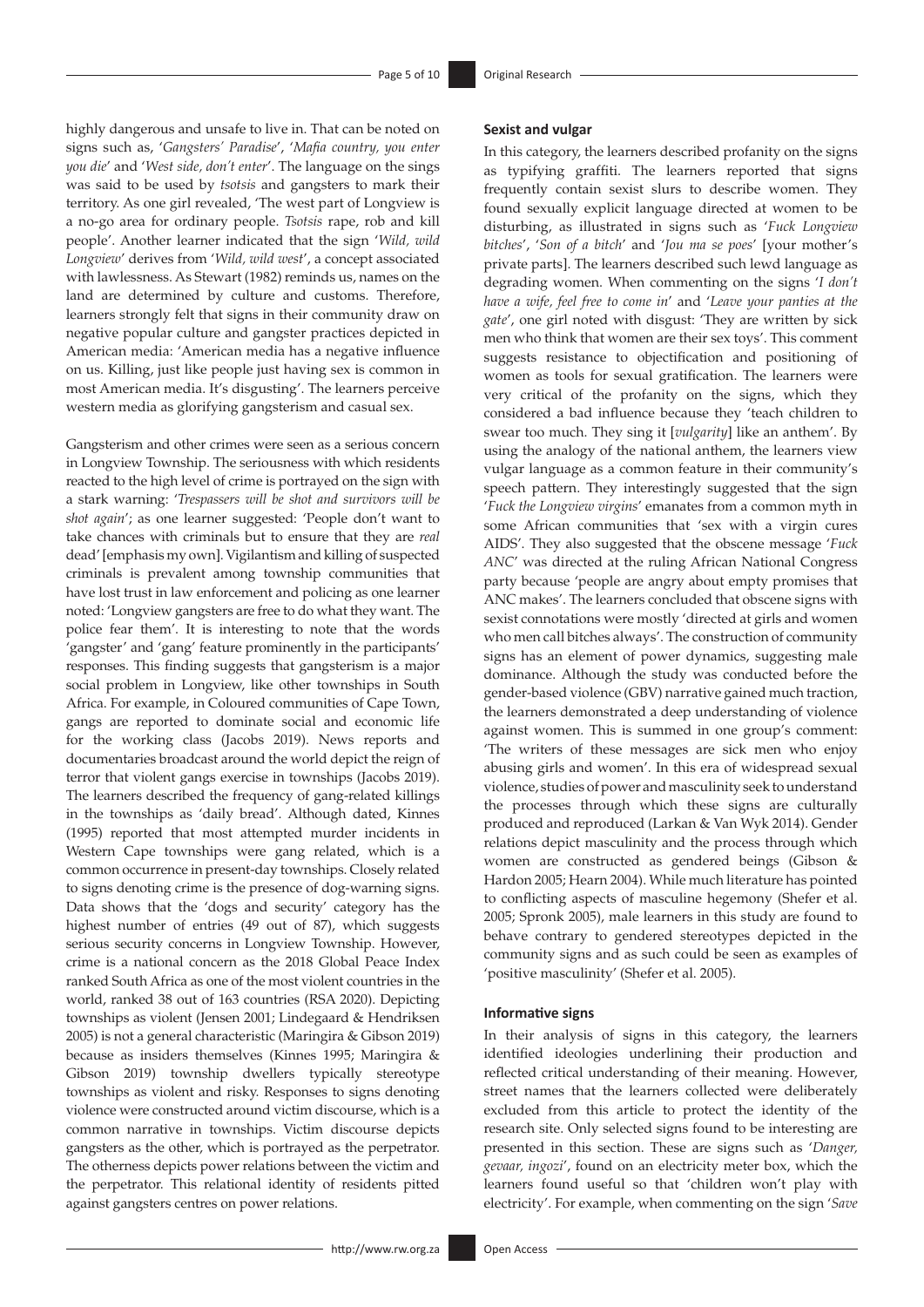highly dangerous and unsafe to live in. That can be noted on signs such as, '*Gangsters' Paradise*', '*Mafia country, you enter you die*' and '*West side, don't enter*'. The language on the sings was said to be used by *tsotsis* and gangsters to mark their territory. As one girl revealed, 'The west part of Longview is a no-go area for ordinary people. *Tsotsis* rape, rob and kill people'. Another learner indicated that the sign '*Wild, wild Longview*' derives from '*Wild, wild west*', a concept associated with lawlessness. As Stewart (1982) reminds us, names on the land are determined by culture and customs. Therefore, learners strongly felt that signs in their community draw on negative popular culture and gangster practices depicted in American media: 'American media has a negative influence on us. Killing, just like people just having sex is common in most American media. It's disgusting'. The learners perceive western media as glorifying gangsterism and casual sex.

Gangsterism and other crimes were seen as a serious concern in Longview Township. The seriousness with which residents reacted to the high level of crime is portrayed on the sign with a stark warning: '*Trespassers will be shot and survivors will be shot again*'; as one learner suggested: 'People don't want to take chances with criminals but to ensure that they are *real* dead' [emphasis my own]. Vigilantism and killing of suspected criminals is prevalent among township communities that have lost trust in law enforcement and policing as one learner noted: 'Longview gangsters are free to do what they want. The police fear them'. It is interesting to note that the words 'gangster' and 'gang' feature prominently in the participants' responses. This finding suggests that gangsterism is a major social problem in Longview, like other townships in South Africa. For example, in Coloured communities of Cape Town, gangs are reported to dominate social and economic life for the working class (Jacobs 2019). News reports and documentaries broadcast around the world depict the reign of terror that violent gangs exercise in townships (Jacobs 2019). The learners described the frequency of gang-related killings in the townships as 'daily bread'. Although dated, Kinnes (1995) reported that most attempted murder incidents in Western Cape townships were gang related, which is a common occurrence in present-day townships. Closely related to signs denoting crime is the presence of dog-warning signs. Data shows that the 'dogs and security' category has the highest number of entries (49 out of 87), which suggests serious security concerns in Longview Township. However, crime is a national concern as the 2018 Global Peace Index ranked South Africa as one of the most violent countries in the world, ranked 38 out of 163 countries (RSA 2020). Depicting townships as violent (Jensen 2001; Lindegaard & Hendriksen 2005) is not a general characteristic (Maringira & Gibson 2019) because as insiders themselves (Kinnes 1995; Maringira & Gibson 2019) township dwellers typically stereotype townships as violent and risky. Responses to signs denoting violence were constructed around victim discourse, which is a common narrative in townships. Victim discourse depicts gangsters as the other, which is portrayed as the perpetrator. The otherness depicts power relations between the victim and the perpetrator. This relational identity of residents pitted against gangsters centres on power relations.

#### **Sexist and vulgar**

In this category, the learners described profanity on the signs as typifying graffiti. The learners reported that signs frequently contain sexist slurs to describe women. They found sexually explicit language directed at women to be disturbing, as illustrated in signs such as '*Fuck Longview bitches*', '*Son of a bitch*' and '*Jou ma se poes*' [your mother's private parts]. The learners described such lewd language as degrading women. When commenting on the signs '*I don't have a wife, feel free to come in*' and '*Leave your panties at the gate*', one girl noted with disgust: 'They are written by sick men who think that women are their sex toys'. This comment suggests resistance to objectification and positioning of women as tools for sexual gratification. The learners were very critical of the profanity on the signs, which they considered a bad influence because they 'teach children to swear too much. They sing it [*vulgarity*] like an anthem'. By using the analogy of the national anthem, the learners view vulgar language as a common feature in their community's speech pattern. They interestingly suggested that the sign '*Fuck the Longview virgins*' emanates from a common myth in some African communities that 'sex with a virgin cures AIDS'. They also suggested that the obscene message '*Fuck ANC*' was directed at the ruling African National Congress party because 'people are angry about empty promises that ANC makes'. The learners concluded that obscene signs with sexist connotations were mostly 'directed at girls and women who men call bitches always'. The construction of community signs has an element of power dynamics, suggesting male dominance. Although the study was conducted before the gender-based violence (GBV) narrative gained much traction, the learners demonstrated a deep understanding of violence against women. This is summed in one group's comment: 'The writers of these messages are sick men who enjoy abusing girls and women'. In this era of widespread sexual violence, studies of power and masculinity seek to understand the processes through which these signs are culturally produced and reproduced (Larkan & Van Wyk 2014). Gender relations depict masculinity and the process through which women are constructed as gendered beings (Gibson & Hardon 2005; Hearn 2004). While much literature has pointed to conflicting aspects of masculine hegemony (Shefer et al. 2005; Spronk 2005), male learners in this study are found to behave contrary to gendered stereotypes depicted in the community signs and as such could be seen as examples of 'positive masculinity' (Shefer et al. 2005).

#### **Informative signs**

In their analysis of signs in this category, the learners identified ideologies underlining their production and reflected critical understanding of their meaning. However, street names that the learners collected were deliberately excluded from this article to protect the identity of the research site. Only selected signs found to be interesting are presented in this section. These are signs such as '*Danger, gevaar, ingozi*', found on an electricity meter box, which the learners found useful so that 'children won't play with electricity'. For example, when commenting on the sign '*Save*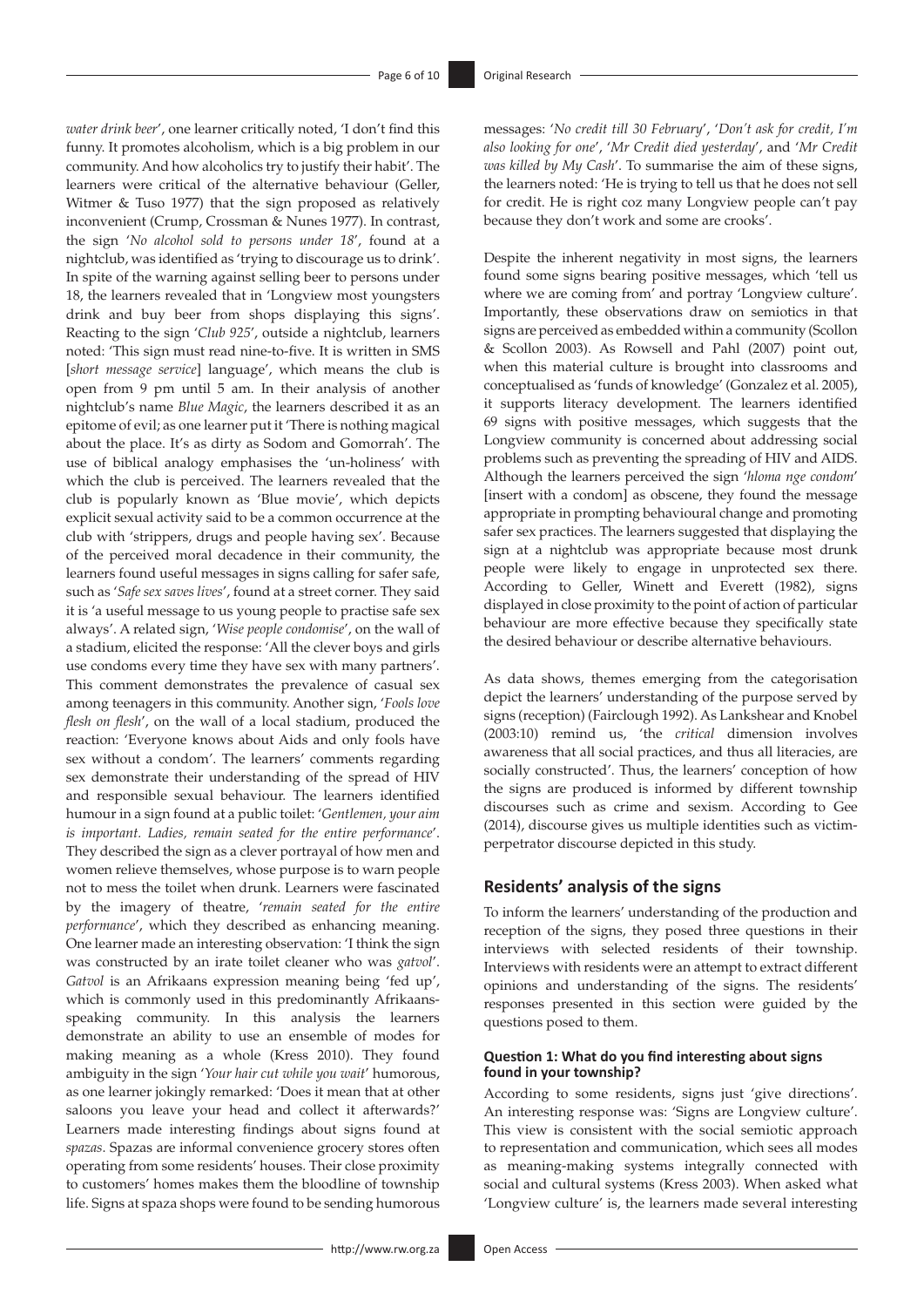*water drink beer*', one learner critically noted, 'I don't find this funny. It promotes alcoholism, which is a big problem in our community. And how alcoholics try to justify their habit'. The learners were critical of the alternative behaviour (Geller, Witmer & Tuso 1977) that the sign proposed as relatively inconvenient (Crump, Crossman & Nunes 1977). In contrast, the sign '*No alcohol sold to persons under 18*', found at a nightclub, was identified as 'trying to discourage us to drink'. In spite of the warning against selling beer to persons under 18, the learners revealed that in 'Longview most youngsters drink and buy beer from shops displaying this signs'. Reacting to the sign '*Club 925*', outside a nightclub, learners noted: 'This sign must read nine-to-five. It is written in SMS [*short message service*] language', which means the club is open from 9 pm until 5 am. In their analysis of another nightclub's name *Blue Magic*, the learners described it as an epitome of evil; as one learner put it 'There is nothing magical about the place. It's as dirty as Sodom and Gomorrah'. The use of biblical analogy emphasises the 'un-holiness' with which the club is perceived. The learners revealed that the club is popularly known as 'Blue movie', which depicts explicit sexual activity said to be a common occurrence at the club with 'strippers, drugs and people having sex'. Because of the perceived moral decadence in their community, the learners found useful messages in signs calling for safer safe, such as '*Safe sex saves lives*', found at a street corner. They said it is 'a useful message to us young people to practise safe sex always'. A related sign, '*Wise people condomise*', on the wall of a stadium, elicited the response: 'All the clever boys and girls use condoms every time they have sex with many partners'. This comment demonstrates the prevalence of casual sex among teenagers in this community. Another sign, '*Fools love flesh on flesh*', on the wall of a local stadium, produced the reaction: 'Everyone knows about Aids and only fools have sex without a condom'. The learners' comments regarding sex demonstrate their understanding of the spread of HIV and responsible sexual behaviour. The learners identified humour in a sign found at a public toilet: '*Gentlemen, your aim is important. Ladies, remain seated for the entire performance*'. They described the sign as a clever portrayal of how men and women relieve themselves, whose purpose is to warn people not to mess the toilet when drunk. Learners were fascinated by the imagery of theatre, '*remain seated for the entire performance*', which they described as enhancing meaning. One learner made an interesting observation: 'I think the sign was constructed by an irate toilet cleaner who was *gatvol*'. *Gatvol* is an Afrikaans expression meaning being 'fed up', which is commonly used in this predominantly Afrikaansspeaking community. In this analysis the learners demonstrate an ability to use an ensemble of modes for making meaning as a whole (Kress 2010). They found ambiguity in the sign '*Your hair cut while you wait*' humorous, as one learner jokingly remarked: 'Does it mean that at other saloons you leave your head and collect it afterwards?' Learners made interesting findings about signs found at *spazas*. Spazas are informal convenience grocery stores often operating from some residents' houses. Their close proximity to customers' homes makes them the bloodline of township life. Signs at spaza shops were found to be sending humorous messages: '*No credit till 30 February*', '*Don't ask for credit, I'm also looking for one*', '*Mr Credit died yesterday*', and '*Mr Credit was killed by My Cash*'. To summarise the aim of these signs, the learners noted: 'He is trying to tell us that he does not sell for credit. He is right coz many Longview people can't pay because they don't work and some are crooks'.

Despite the inherent negativity in most signs, the learners found some signs bearing positive messages, which 'tell us where we are coming from' and portray 'Longview culture'. Importantly, these observations draw on semiotics in that signs are perceived as embedded within a community (Scollon & Scollon 2003). As Rowsell and Pahl (2007) point out, when this material culture is brought into classrooms and conceptualised as 'funds of knowledge' (Gonzalez et al. 2005), it supports literacy development. The learners identified 69 signs with positive messages, which suggests that the Longview community is concerned about addressing social problems such as preventing the spreading of HIV and AIDS. Although the learners perceived the sign '*hloma nge condom*' [insert with a condom] as obscene, they found the message appropriate in prompting behavioural change and promoting safer sex practices. The learners suggested that displaying the sign at a nightclub was appropriate because most drunk people were likely to engage in unprotected sex there. According to Geller, Winett and Everett (1982), signs displayed in close proximity to the point of action of particular behaviour are more effective because they specifically state the desired behaviour or describe alternative behaviours.

As data shows, themes emerging from the categorisation depict the learners' understanding of the purpose served by signs (reception) (Fairclough 1992). As Lankshear and Knobel (2003:10) remind us, 'the *critical* dimension involves awareness that all social practices, and thus all literacies, are socially constructed'. Thus, the learners' conception of how the signs are produced is informed by different township discourses such as crime and sexism. According to Gee (2014), discourse gives us multiple identities such as victimperpetrator discourse depicted in this study.

### **Residents' analysis of the signs**

To inform the learners' understanding of the production and reception of the signs, they posed three questions in their interviews with selected residents of their township. Interviews with residents were an attempt to extract different opinions and understanding of the signs. The residents' responses presented in this section were guided by the questions posed to them.

#### **Question 1: What do you find interesting about signs found in your township?**

According to some residents, signs just 'give directions'. An interesting response was: 'Signs are Longview culture'. This view is consistent with the social semiotic approach to representation and communication, which sees all modes as meaning-making systems integrally connected with social and cultural systems (Kress 2003). When asked what 'Longview culture' is, the learners made several interesting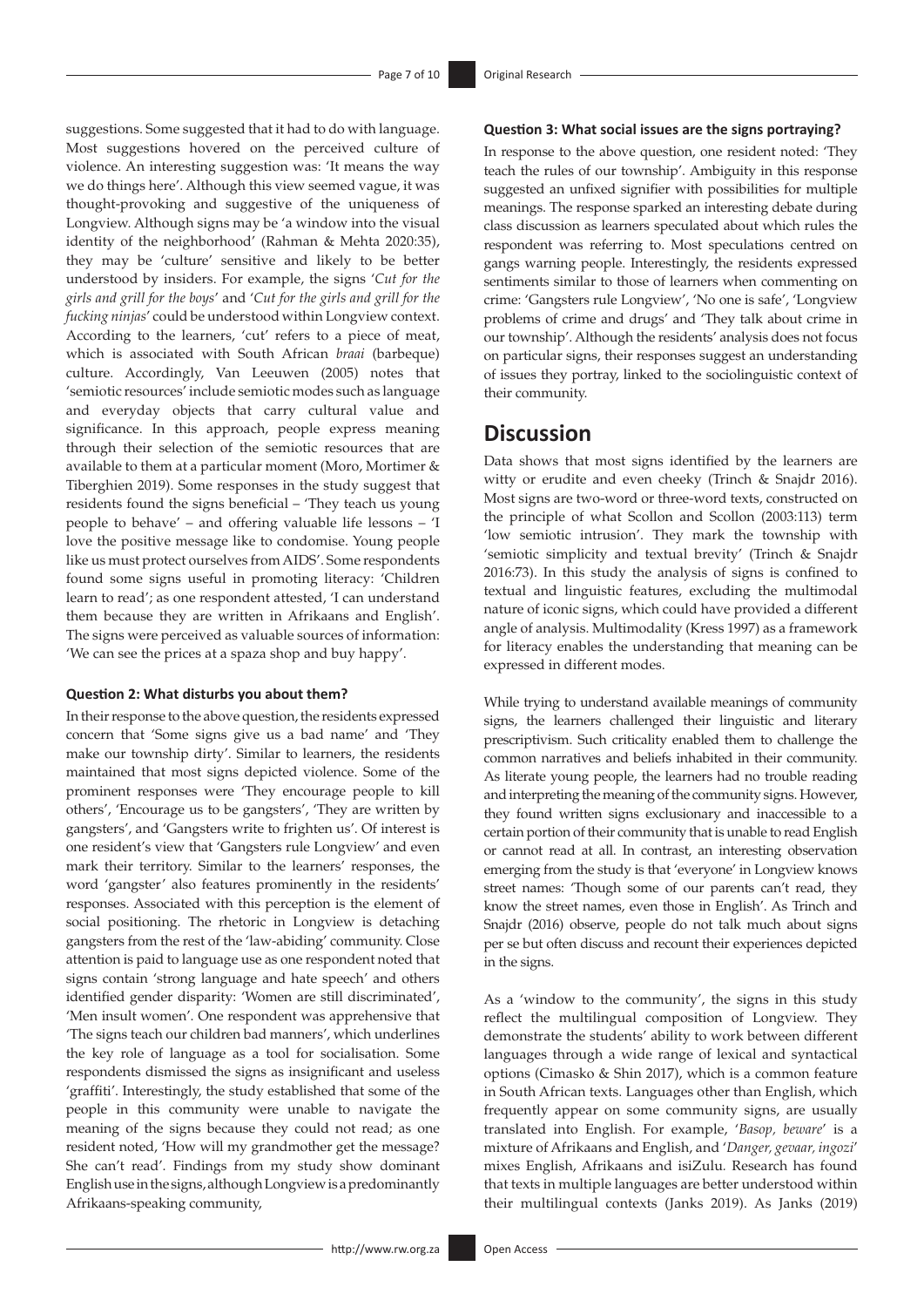suggestions. Some suggested that it had to do with language. Most suggestions hovered on the perceived culture of violence. An interesting suggestion was: 'It means the way we do things here'. Although this view seemed vague, it was thought-provoking and suggestive of the uniqueness of Longview. Although signs may be 'a window into the visual identity of the neighborhood' (Rahman & Mehta 2020:35), they may be 'culture' sensitive and likely to be better understood by insiders. For example, the signs '*Cut for the girls and grill for the boys*' and '*Cut for the girls and grill for the fucking ninjas*' could be understood within Longview context. According to the learners, 'cut' refers to a piece of meat, which is associated with South African *braai* (barbeque) culture. Accordingly, Van Leeuwen (2005) notes that 'semiotic resources' include semiotic modes such as language and everyday objects that carry cultural value and significance. In this approach, people express meaning through their selection of the semiotic resources that are available to them at a particular moment (Moro, Mortimer & Tiberghien 2019). Some responses in the study suggest that residents found the signs beneficial – 'They teach us young people to behave' – and offering valuable life lessons – 'I love the positive message like to condomise. Young people like us must protect ourselves from AIDS'. Some respondents found some signs useful in promoting literacy: 'Children learn to read'; as one respondent attested, 'I can understand them because they are written in Afrikaans and English'. The signs were perceived as valuable sources of information: 'We can see the prices at a spaza shop and buy happy'.

#### **Question 2: What disturbs you about them?**

In their response to the above question, the residents expressed concern that 'Some signs give us a bad name' and 'They make our township dirty'. Similar to learners, the residents maintained that most signs depicted violence. Some of the prominent responses were 'They encourage people to kill others', 'Encourage us to be gangsters', 'They are written by gangsters', and 'Gangsters write to frighten us'. Of interest is one resident's view that 'Gangsters rule Longview' and even mark their territory. Similar to the learners' responses, the word 'gangster' also features prominently in the residents' responses. Associated with this perception is the element of social positioning. The rhetoric in Longview is detaching gangsters from the rest of the 'law-abiding' community. Close attention is paid to language use as one respondent noted that signs contain 'strong language and hate speech' and others identified gender disparity: 'Women are still discriminated', 'Men insult women'. One respondent was apprehensive that 'The signs teach our children bad manners', which underlines the key role of language as a tool for socialisation. Some respondents dismissed the signs as insignificant and useless 'graffiti'. Interestingly, the study established that some of the people in this community were unable to navigate the meaning of the signs because they could not read; as one resident noted, 'How will my grandmother get the message? She can't read'. Findings from my study show dominant English use in the signs, although Longview is a predominantly Afrikaans-speaking community,

#### **Question 3: What social issues are the signs portraying?**

In response to the above question, one resident noted: 'They teach the rules of our township'. Ambiguity in this response suggested an unfixed signifier with possibilities for multiple meanings. The response sparked an interesting debate during class discussion as learners speculated about which rules the respondent was referring to. Most speculations centred on gangs warning people. Interestingly, the residents expressed sentiments similar to those of learners when commenting on crime: 'Gangsters rule Longview', 'No one is safe', 'Longview problems of crime and drugs' and 'They talk about crime in our township'. Although the residents' analysis does not focus on particular signs, their responses suggest an understanding of issues they portray, linked to the sociolinguistic context of their community.

### **Discussion**

Data shows that most signs identified by the learners are witty or erudite and even cheeky (Trinch & Snajdr 2016). Most signs are two-word or three-word texts, constructed on the principle of what Scollon and Scollon (2003:113) term 'low semiotic intrusion'. They mark the township with 'semiotic simplicity and textual brevity' (Trinch & Snajdr 2016:73). In this study the analysis of signs is confined to textual and linguistic features, excluding the multimodal nature of iconic signs, which could have provided a different angle of analysis. Multimodality (Kress 1997) as a framework for literacy enables the understanding that meaning can be expressed in different modes.

While trying to understand available meanings of community signs, the learners challenged their linguistic and literary prescriptivism. Such criticality enabled them to challenge the common narratives and beliefs inhabited in their community. As literate young people, the learners had no trouble reading and interpreting the meaning of the community signs. However, they found written signs exclusionary and inaccessible to a certain portion of their community that is unable to read English or cannot read at all. In contrast, an interesting observation emerging from the study is that 'everyone' in Longview knows street names: 'Though some of our parents can't read, they know the street names, even those in English'. As Trinch and Snajdr (2016) observe, people do not talk much about signs per se but often discuss and recount their experiences depicted in the signs.

As a 'window to the community', the signs in this study reflect the multilingual composition of Longview. They demonstrate the students' ability to work between different languages through a wide range of lexical and syntactical options (Cimasko & Shin 2017), which is a common feature in South African texts. Languages other than English, which frequently appear on some community signs, are usually translated into English. For example, '*Basop, beware*' is a mixture of Afrikaans and English, and '*Danger, gevaar, ingozi*' mixes English, Afrikaans and isiZulu*.* Research has found that texts in multiple languages are better understood within their multilingual contexts (Janks 2019). As Janks (2019)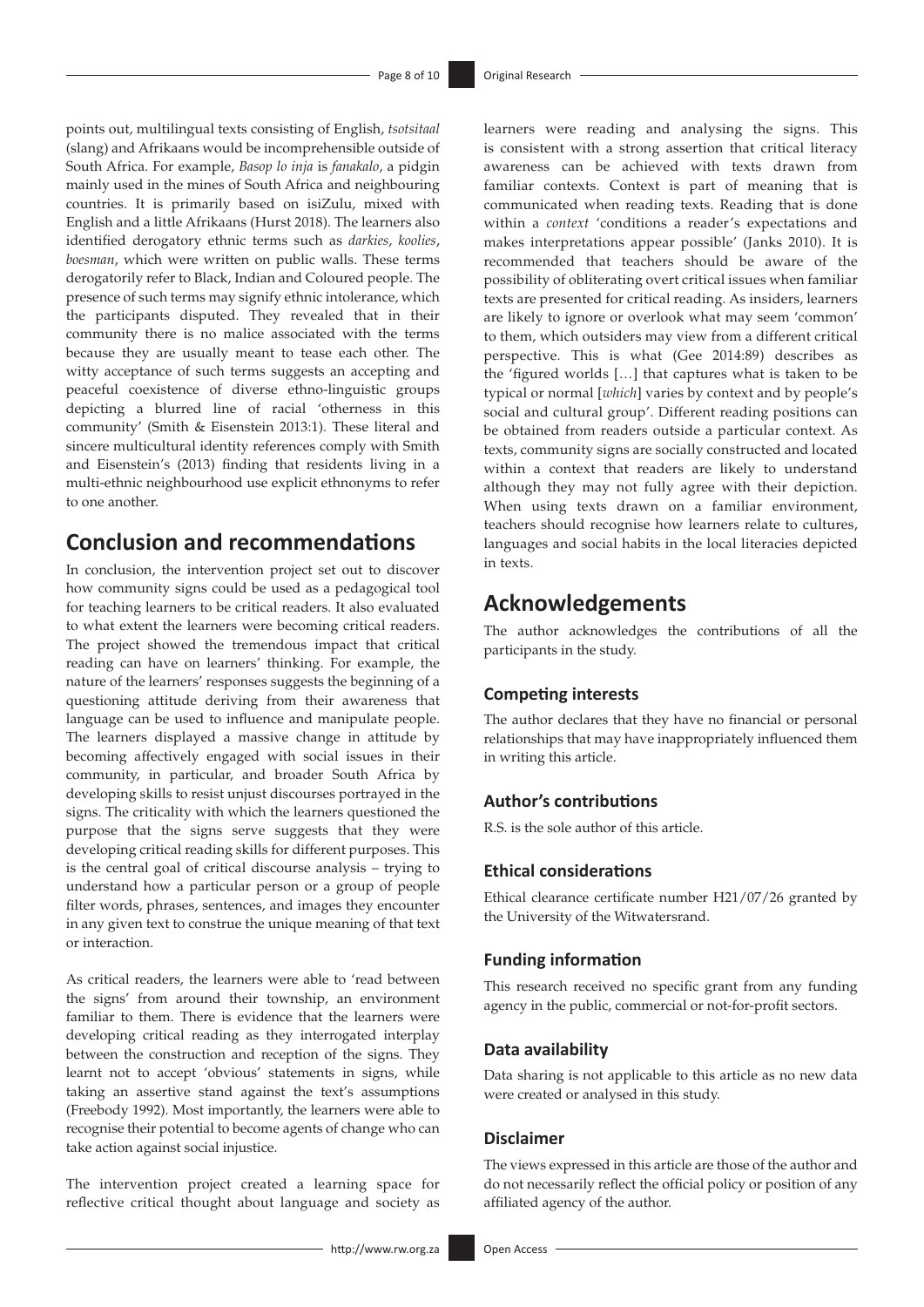points out, multilingual texts consisting of English, *tsotsitaal* (slang) and Afrikaans would be incomprehensible outside of South Africa. For example, *Basop lo inja* is *fanakalo*, a pidgin mainly used in the mines of South Africa and neighbouring countries. It is primarily based on isiZulu, mixed with English and a little Afrikaans (Hurst 2018). The learners also identified derogatory ethnic terms such as *darkies*, *koolies*, *boesman*, which were written on public walls. These terms derogatorily refer to Black, Indian and Coloured people. The presence of such terms may signify ethnic intolerance, which the participants disputed. They revealed that in their community there is no malice associated with the terms because they are usually meant to tease each other. The witty acceptance of such terms suggests an accepting and peaceful coexistence of diverse ethno-linguistic groups depicting a blurred line of racial 'otherness in this community' (Smith & Eisenstein 2013:1). These literal and sincere multicultural identity references comply with Smith and Eisenstein's (2013) finding that residents living in a multi-ethnic neighbourhood use explicit ethnonyms to refer to one another.

# **Conclusion and recommendations**

In conclusion, the intervention project set out to discover how community signs could be used as a pedagogical tool for teaching learners to be critical readers. It also evaluated to what extent the learners were becoming critical readers. The project showed the tremendous impact that critical reading can have on learners' thinking. For example, the nature of the learners' responses suggests the beginning of a questioning attitude deriving from their awareness that language can be used to influence and manipulate people. The learners displayed a massive change in attitude by becoming affectively engaged with social issues in their community, in particular, and broader South Africa by developing skills to resist unjust discourses portrayed in the signs. The criticality with which the learners questioned the purpose that the signs serve suggests that they were developing critical reading skills for different purposes. This is the central goal of critical discourse analysis – trying to understand how a particular person or a group of people filter words, phrases, sentences, and images they encounter in any given text to construe the unique meaning of that text or interaction.

As critical readers, the learners were able to 'read between the signs' from around their township, an environment familiar to them. There is evidence that the learners were developing critical reading as they interrogated interplay between the construction and reception of the signs. They learnt not to accept 'obvious' statements in signs, while taking an assertive stand against the text's assumptions (Freebody 1992). Most importantly, the learners were able to recognise their potential to become agents of change who can take action against social injustice.

The intervention project created a learning space for reflective critical thought about language and society as

learners were reading and analysing the signs. This is consistent with a strong assertion that critical literacy awareness can be achieved with texts drawn from familiar contexts. Context is part of meaning that is communicated when reading texts. Reading that is done within a *context* 'conditions a reader's expectations and makes interpretations appear possible' (Janks 2010). It is recommended that teachers should be aware of the possibility of obliterating overt critical issues when familiar texts are presented for critical reading. As insiders, learners are likely to ignore or overlook what may seem 'common' to them, which outsiders may view from a different critical perspective. This is what (Gee 2014:89) describes as the 'figured worlds […] that captures what is taken to be typical or normal [*which*] varies by context and by people's social and cultural group'. Different reading positions can be obtained from readers outside a particular context. As texts, community signs are socially constructed and located within a context that readers are likely to understand although they may not fully agree with their depiction. When using texts drawn on a familiar environment, teachers should recognise how learners relate to cultures, languages and social habits in the local literacies depicted in texts.

### **Acknowledgements**

The author acknowledges the contributions of all the participants in the study.

### **Competing interests**

The author declares that they have no financial or personal relationships that may have inappropriately influenced them in writing this article.

#### **Author's contributions**

R.S. is the sole author of this article.

### **Ethical considerations**

Ethical clearance certificate number H21/07/26 granted by the University of the Witwatersrand.

#### **Funding information**

This research received no specific grant from any funding agency in the public, commercial or not-for-profit sectors.

#### **Data availability**

Data sharing is not applicable to this article as no new data were created or analysed in this study.

#### **Disclaimer**

The views expressed in this article are those of the author and do not necessarily reflect the official policy or position of any affiliated agency of the author.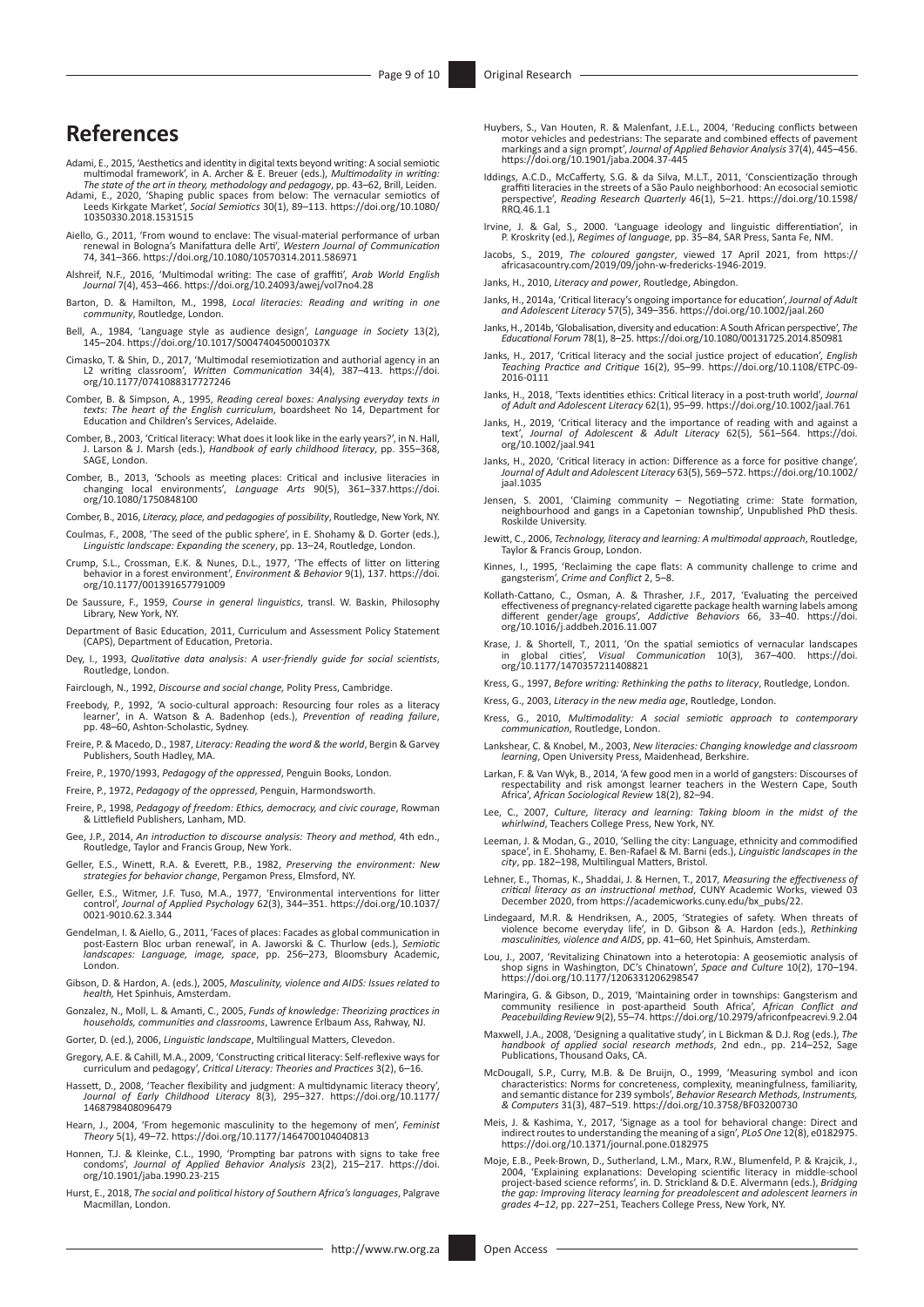# **References**

- Adami, E., 2015, 'Aesthetics and identity in digital texts beyond writing: A social semiotic multimodal framework', in A. Archer & E. Breuer (eds.), *Multimodality in writing:*
- The state of the art in theory, methodology and pedagogy, pp. 43–62, Brill, Leiden.<br>Adami, E., 2020, 'Shaping public spaces from below: The vernacular semiotics of<br>Leeds Kirkgate Market', Social Semiotics 30(1), 89–113. ht [10350330.2018.1531515](https://doi.org/10.1080/10350330.2018.1531515)
- Aiello, G., 2011, 'From wound to enclave: The visual-material performance of urban renewal in Bologna's Manifattura delle Arti', *Western Journal of Communication*  74, 341–366.<https://doi.org/10.1080/10570314.2011.586971>
- Alshreif, N.F., 2016, 'Multimodal writing: The case of graffiti', *Arab World English Journal* 7(4), 453–466. <https://doi.org/10.24093/awej/vol7no4.28>
- Barton, D. & Hamilton, M., 1998, *Local literacies: Reading and writing in one community*, Routledge, London.
- Bell, A., 1984, 'Language style as audience design', *Language in Society* 13(2), 145–204. <https://doi.org/10.1017/S004740450001037X>
- Cimasko, T. & Shin, D., 2017, 'Multimodal resemiotization and authorial agency in an L2 writing classroom', *Written Communication* 34(4), 387–413. [https://doi.](https://doi.org/10.1177/0741088317727246) [org/10.1177/0741088317727246](https://doi.org/10.1177/0741088317727246)
- Comber, B. & Simpson, A., 1995, *Reading cereal boxes: Analysing everyday texts in texts: The heart of the English curriculum*, boardsheet No 14, Department for Education and Children's Services, Adelaide.
- Comber, B., 2003, 'Critical literacy: What does it look like in the early years?', in N. Hall, J. Larson & J. Marsh (eds.), *Handbook of early childhood literacy*, pp. 355–368, SAGE, London.
- Comber, B., 2013, 'Schools as meeting places: Critical and inclusive literacies in changing local environments', *Language Arts* 90(5), 361–337[.https://doi.](https://doi.org/10.1080/1750848100) [org/10.1080/1750848100](https://doi.org/10.1080/1750848100)
- Comber, B., 2016, *Literacy, place, and pedagogies of possibility*, Routledge, New York, NY.
- Coulmas, F., 2008, 'The seed of the public sphere', in E. Shohamy & D. Gorter (eds.), *Linguistic landscape: Expanding the scenery*, pp. 13–24, Routledge, London.
- Crump, S.L., Crossman, E.K. & Nunes, D.L., 1977, 'The effects of litter on littering behavior in a forest environment', *Environment & Behavior* 9(1), 137. [https://doi.](https://doi.org/10.1177/001391657791009) [org/10.1177/001391657791009](https://doi.org/10.1177/001391657791009)
- De Saussure, F., 1959, *Course in general linguistics*, transl. W. Baskin, Philosophy Library, New York, NY.
- Department of Basic Education, 2011, Curriculum and Assessment Policy Statement (CAPS), Department of Education, Pretoria.
- Dey, I., 1993, *Qualitative data analysis: A user-friendly guide for social scientists*, Routledge, London.
- Fairclough, N., 1992, *Discourse and social change,* Polity Press, Cambridge.
- Freebody, P., 1992, 'A socio-cultural approach: Resourcing four roles as a literacy learner', in A. Watson & A. Badenhop (eds.), *Prevention of reading failure*, pp. 48–60, Ashton-Scholastic, Sydney.
- Freire, P. & Macedo, D., 1987, *Literacy: Reading the word & the world*, Bergin & Garvey Publishers, South Hadley, MA.
- Freire, P., 1970/1993, *Pedagogy of the oppressed*, Penguin Books, London.
- Freire, P., 1972, *Pedagogy of the oppressed*, Penguin, Harmondsworth.
- Freire, P., 1998, *Pedagogy of freedom: Ethics, democracy, and civic courage*, Rowman & Littlefield Publishers, Lanham, MD.
- Gee, J.P., 2014, *An introduction to discourse analysis: Theory and method*, 4th edn., Routledge, Taylor and Francis Group, New York.
- Geller, E.S., Winett, R.A. & Everett, P.B., 1982, *Preserving the environment: New strategies for behavior change*, Pergamon Press, Elmsford, NY.
- Geller, E.S., Witmer, J.F. Tuso, M.A., 1977, 'Environmental interventions for litter control', *Journal of Applied Psychology* 62(3), 344–351. [https://doi.org/10.1037/](https://doi.org/10.1037/0021-9010.62.3.344)<br>[0021-9010.62.3.344](https://doi.org/10.1037/0021-9010.62.3.344)
- Gendelman, I. & Aiello, G., 2011, 'Faces of places: Facades as global communication in post-Eastern Bloc urban renewal', in A. Jaworski & C. Thurlow (eds.), Semiotic landscapes: Language, image, space, pp. 256–273, Bloomsb **Londor**
- Gibson, D. & Hardon, A. (eds.), 2005, *Masculinity, violence and AIDS: Issues related to health,* Het Spinhuis, Amsterdam.
- Gonzalez, N., Moll, L. & Amanti, C., 2005, *Funds of knowledge: Theorizing practices in households, communities and classrooms*, Lawrence Erlbaum Ass, Rahway, NJ.
- Gorter, D. (ed.), 2006, *Linguistic landscape*, Multilingual Matters, Clevedon.
- Gregory, A.E. & Cahill, M.A., 2009, 'Constructing critical literacy: Self-reflexive ways for curriculum and pedagogy', *Critical Literacy: Theories and Practices* 3(2), 6–16.
- Hassett, D., 2008, 'Teacher flexibility and judgment: A multidynamic literacy theory *Journal of Early Childhood Literacy* 8(3), 295–327. [https://doi.org/10.1177/](https://doi.org/10.1177/1468798408096479) [1468798408096479](https://doi.org/10.1177/1468798408096479)
- Hearn, J., 2004, 'From hegemonic masculinity to the hegemony of men', *Feminist Theory* 5(1), 49–72. <https://doi.org/10.1177/1464700104040813>
- Honnen, T.J. & Kleinke, C.L., 1990, 'Prompting bar patrons with signs to take free condoms', *Journal of Applied Behavior Analysis* 23(2), 215–217. [https://doi.](https://doi.org/10.1901/jaba.1990.23-215) [org/10.1901/jaba.1990.23-215](https://doi.org/10.1901/jaba.1990.23-215)
- Hurst, E., 2018, *The social and political history of Southern Africa's languages*, Palgrave Macmillan, London.
- Huybers, S., Van Houten, R. & Malenfant, J.E.L., 2004, 'Reducing conflicts between<br>motor vehicles and pedestrians: The separate and combined effects of pavement<br>markings and a sign prompt', Journal of Applied Behavior Anal
- Iddings, A.C.D., McCafferty, S.G. & da Silva, M.L.T., 2011, 'Conscientização through graffiti literacies in the streets of a São Paulo neighborhood: An ecosocial semiotic perspective', *Reading Research Quarterly* 46(1), 5–21. [https://doi.org/10.1598/](https://doi.org/10.1598/RRQ.46.1.1) [RRQ.46.1.1](https://doi.org/10.1598/RRQ.46.1.1)
- Irvine, J. & Gal, S., 2000. 'Language ideology and linguistic differentiation', in P. Kroskrity (ed.), *Regimes of language*, pp. 35–84, SAR Press, Santa Fe, NM.
- Jacobs, S., 2019, *The coloured gangster*, viewed 17 April 2021, from [https://](https://africasacountry.com/2019/09/john-w-fredericks-1946-2019) [africasacountry.com/2019/09/john-w-fredericks-1946-2019](https://africasacountry.com/2019/09/john-w-fredericks-1946-2019).
- Janks, H., 2010, *Literacy and power*, Routledge, Abingdon.
- Janks, H., 2014a, 'Critical literacy's ongoing importance for education', *Journal of Adult and Adolescent Literacy* 57(5), 349–356.<https://doi.org/10.1002/jaal.260>
- Janks, H., 2014b, 'Globalisation, diversity and education: A South African perspective', *The Educational Forum* 78(1), 8–25.<https://doi.org/10.1080/00131725.2014.850981>
- Janks, H., 2017, 'Critical literacy and the social justice project of education', *English Teaching Practice and Critique* 16(2), 95–99. [https://doi.org/10.1108/ETPC-09-](https://doi.org/10.1108/ETPC-09-2016-0111) [2016-0111](https://doi.org/10.1108/ETPC-09-2016-0111)
- Janks, H., 2018, 'Texts identities ethics: Critical literacy in a post-truth world', *Journal of Adult and Adolescent Literacy* 62(1), 95–99.<https://doi.org/10.1002/jaal.761>
- Janks, H., 2019, 'Critical literacy and the importance of reading with and against a text', *Journal of Adolescent & Adult Literacy* 62(5), 561–564. [https://doi.](https://doi.org/10.1002/jaal.941) [org/10.1002/jaal.941](https://doi.org/10.1002/jaal.941)
- Janks, H., 2020, 'Critical literacy in action: Difference as a force for positive change', *Journal of Adult and Adolescent Literacy* 63(5), 569–572. [https://doi.org/10.1002/](https://doi.org/10.1002/jaal.1035) [jaal.1035](https://doi.org/10.1002/jaal.1035)
- Jensen, S. 2001, 'Claiming community Negotiating crime: State formation, neighbourhood and gangs in a Capetonian township', Unpublished PhD thesis. Roskilde University.
- Jewitt, C., 2006, *Technology, literacy and learning: A multimodal approach*, Routledge, Taylor & Francis Group, London.
- Kinnes, I., 1995, 'Reclaiming the cape flats: A community challenge to crime and gangsterism', *Crime and Conflict* 2, 5–8.
- Kollath-Cattano, C., Osman, A. & Thrasher, J.F., 2017, 'Evaluating the perceived<br>effectiveness of pregnancy-related cigarette package health warning labels among<br>different gender/age groups', *Addictive Behaviors* 66, 33–4
- Krase, J. & Shortell, T., 2011, 'On the spatial semiotics of vernacular landscapes in global cities', *Visual Communication* 10(3), 367–400. [https://doi.](https://doi.org/10.1177/1470357211408821) in global cities', Visual Co.<br>[org/10.1177/1470357211408821](https://doi.org/10.1177/1470357211408821)
- Kress, G., 1997, *Before writing: Rethinking the paths to literacy*, Routledge, London.
- Kress, G., 2003, *Literacy in the new media age*, Routledge, London.
- Kress, G., 2010, *Multimodality: A social semiotic approach to contemporary communication*, Routledge, London.
- Lankshear, C. & Knobel, M., 2003, *New literacies: Changing knowledge and classroom learning*, Open University Press, Maidenhead, Berkshire.
- Larkan, F. & Van Wyk, B., 2014, 'A few good men in a world of gangsters: Discourses of respectability and risk amongst learner teachers in the Western Cape, South Africa', *African Sociological Review* 18(2), 82–94.
- Lee, C., 2007, *Culture, literacy and learning: Taking bloom in the midst of the whirlwind*, Teachers College Press, New York, NY.
- Leeman, J. & Modan, G., 2010, 'Selling the city: Language, ethnicity and commodified space', in E. Shohamy, E. Ben-Rafael & M. Barni (eds.), *Linguistic landscapes in the city*, pp. 182–198, Multilingual Matters, Bristol.
- Lehner, E., Thomas, K., Shaddai, J. & Hernen, T., 2017*, Measuring the effectiveness of critical literacy as an instructional method*, CUNY Academic Works, viewed 03 December 2020, from [https://academicworks.cuny.edu/bx\\_pubs/22](https://academicworks.cuny.edu/bx_pubs/22).
- Lindegaard, M.R. & Hendriksen, A., 2005, 'Strategies of safety. When threats of<br>violence become everyday life', in D. Gibson & A. Hardon (eds.), *Rethinking*<br>masculinities, violence and AIDS, pp. 41–60, Het Spinhuis, Amste
- Lou, J., 2007, 'Revitalizing Chinatown into a heterotopia: A geosemiotic analysis of shop signs in Washington, DC's Chinatown', *Space and Culture* 10(2), 170–194. <https://doi.org/10.1177/1206331206298547>
- Maringira, G. & Gibson, D., 2019, 'Maintaining order in townships: Gangsterism and<br>community resilience in post-apartheid South Africa', African Conflict<br>Peacebuilding Review 9(2), 55–74. https://doi.org/10.2979/africonfpe
- Maxwell, J.A., 2008, 'Designing a qualitative study', in L Bickman & D.J. Rog (eds.), *The handbook of applied social research methods*, 2nd edn., pp. 214–252, Sage Publications, Thousand Oaks, CA.
- McDougall, S.P., Curry, M.B. & De Bruijn, O., 1999, 'Measuring symbol and icon<br>characteristics: Norms for concreteness, complexity, meaningfulness, familiarity,<br>and semantic distance for 239 symbols', Behavior Research Met *& Computers* 31(3), 487–519.<https://doi.org/10.3758/BF03200730>
- Meis, J. & Kashima, Y., 2017, 'Signage as a tool for behavioral change: Direct and<br>indirect routes to understanding the meaning of a sign', *PLoS One* 12(8), e0182975.<br><https://doi.org/10.1371/journal.pone.0182975>
- Moje, E.B., Peek-Brown, D., Sutherland, L.M., Marx, R.W., Blumenfeld, P. & Krajcik, J.,<br>2004, 'Explaining explanations: Developing scientific literacy in middle-school<br>2019 project-based science reforms', in. D. Strickland *the gap: Improving literacy learning for preadolescent and adolescent learners in grades 4–12*, pp. 227–251, Teachers College Press, New York, NY.